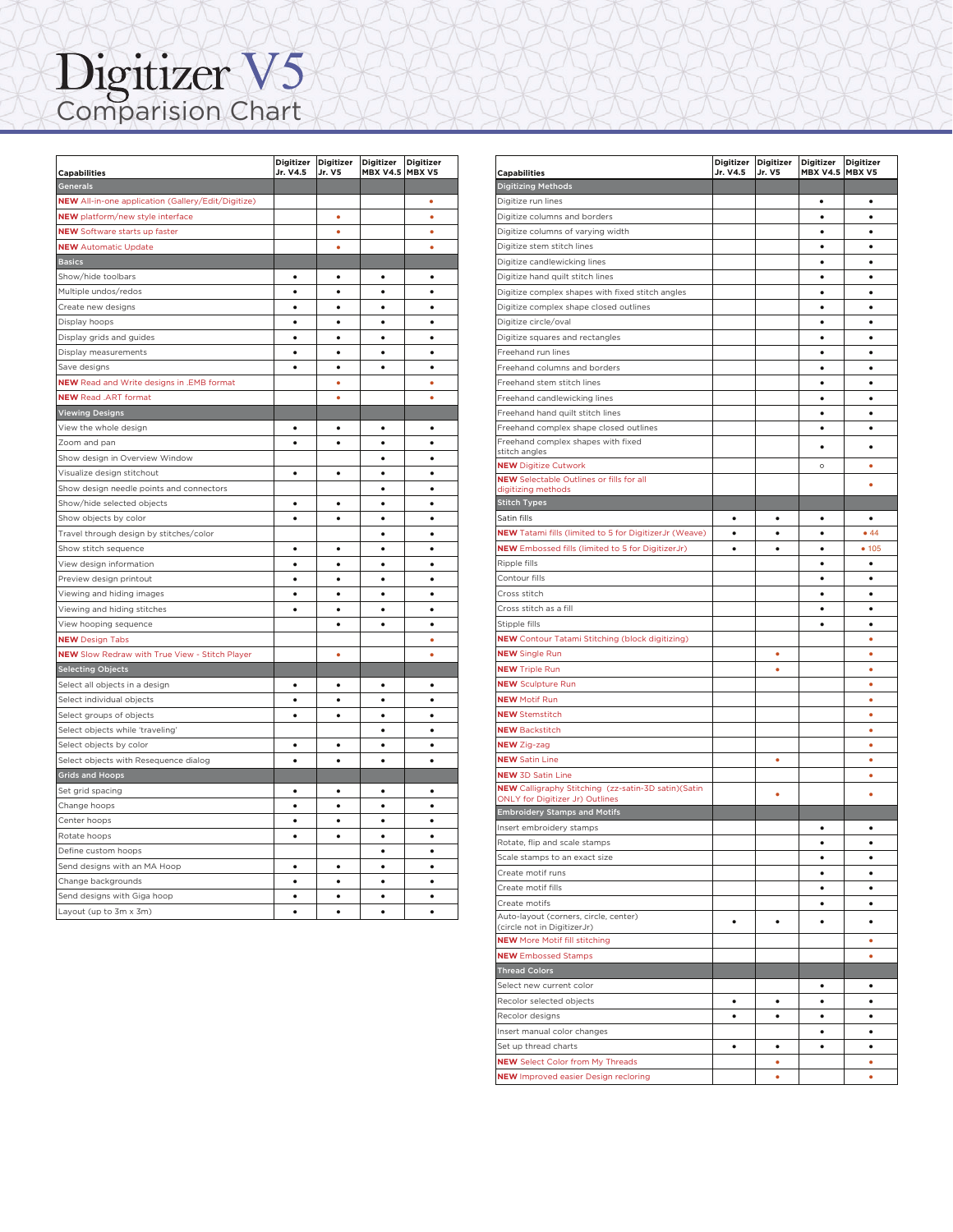## Digitizer V5

| <b>Capabilities</b>                                              | Digitizer Digitizer<br>Jr. V4.5 | Jr. V5    | Digitizer<br><b>MBX V4.5 MBX V5</b> | <b>Digitizer</b> |
|------------------------------------------------------------------|---------------------------------|-----------|-------------------------------------|------------------|
| Generals                                                         |                                 |           |                                     |                  |
| <b>NEW</b> All-in-one application (Gallery/Edit/Digitize)        |                                 |           |                                     | ö                |
| <b>NEW</b> platform/new style interface                          |                                 | ö         |                                     | ö                |
| <b>NEW</b> Software starts up faster                             |                                 | ٠         |                                     | ٠                |
| <b>NEW</b> Automatic Update                                      |                                 | ٠         |                                     | ٠                |
| <b>Basics</b>                                                    |                                 |           |                                     |                  |
| Show/hide toolbars                                               | ٠                               | ٠         | ٠                                   | ٠                |
| Multiple undos/redos                                             | $\bullet$                       | ٠         | $\bullet$                           | $\bullet$        |
| Create new designs                                               | $\bullet$                       | ٠         | ٠                                   | ٠                |
| Display hoops                                                    | $\bullet$                       | $\bullet$ | $\bullet$                           | $\bullet$        |
| Display grids and guides                                         | $\bullet$                       | $\bullet$ | $\bullet$                           | $\bullet$        |
| Display measurements                                             | $\bullet$                       | $\bullet$ | $\bullet$                           | $\bullet$        |
| Save designs                                                     | $\bullet$                       | $\bullet$ | ٠                                   | $\bullet$        |
| NEW Read and Write designs in .EMB format                        |                                 | ٠         |                                     | ö                |
| <b>NEW Read .ART format</b>                                      |                                 | ٠         |                                     | ٠                |
| <b>Viewing Designs</b>                                           |                                 |           |                                     |                  |
| View the whole design                                            | ٠                               | ٠         | ٠                                   | ٠                |
| Zoom and pan                                                     | ۰                               | $\bullet$ | ٠                                   | $\bullet$        |
| Show design in Overview Window                                   |                                 |           | ٠                                   | $\bullet$        |
| Visualize design stitchout                                       | $\bullet$                       | $\bullet$ | ٠                                   | $\bullet$        |
| Show design needle points and connectors                         |                                 |           | $\bullet$                           | $\bullet$        |
| Show/hide selected objects                                       | $\bullet$                       | $\bullet$ | $\bullet$                           | $\bullet$        |
| Show objects by color                                            | ۰                               | ۰         | $\bullet$                           | $\bullet$        |
| Travel through design by stitches/color                          |                                 |           | ٠                                   | ٠                |
| Show stitch sequence                                             | $\bullet$                       | $\bullet$ | $\bullet$                           | $\bullet$        |
| View design information                                          | $\bullet$                       | $\bullet$ | $\bullet$                           | $\bullet$        |
| Preview design printout                                          | $\bullet$                       | ٠         | $\bullet$                           | $\bullet$        |
| Viewing and hiding images                                        | ٠                               | ٠         | ٠                                   | ٠                |
| Viewing and hiding stitches                                      | $\bullet$                       | ٠         | $\bullet$                           | $\bullet$        |
| View hooping sequence                                            |                                 | $\bullet$ | ٠                                   | ٠                |
| <b>NEW Design Tabs</b>                                           |                                 |           |                                     | ٠                |
| NEW Slow Redraw with True View - Stitch Player                   |                                 | ö         |                                     | ò                |
| <b>Selecting Objects</b>                                         |                                 |           |                                     |                  |
|                                                                  | $\bullet$                       | $\bullet$ | $\bullet$                           | $\bullet$        |
| Select all objects in a design<br>Select individual objects      | ٠                               | $\bullet$ | ٠                                   | ٠                |
| Select groups of objects                                         | $\bullet$                       | $\bullet$ | ٠                                   | $\bullet$        |
| Select objects while 'traveling'                                 |                                 |           | $\bullet$                           | $\bullet$        |
|                                                                  | ٠                               | ٠         | ٠                                   | ٠                |
| Select objects by color<br>Select objects with Resequence dialog | $\bullet$                       | $\bullet$ | $\bullet$                           | $\bullet$        |
|                                                                  |                                 |           |                                     |                  |
| <b>Grids and Hoops</b><br>Set grid spacing                       | $\bullet$                       | $\bullet$ | $\bullet$                           | $\bullet$        |
|                                                                  | $\bullet$                       | $\bullet$ | $\bullet$                           | $\bullet$        |
| Change hoops                                                     | $\bullet$                       | $\bullet$ | $\bullet$                           | $\bullet$        |
| Center hoops                                                     |                                 |           |                                     |                  |
| Rotate hoops                                                     | $\bullet$                       | $\bullet$ | $\bullet$                           | $\bullet$        |
| Define custom hoops                                              |                                 |           | ٠                                   | ٠                |
| Send designs with an MA Hoop                                     | $\bullet$                       | $\bullet$ | $\bullet$                           | $\bullet$        |
| Change backgrounds                                               | $\bullet$                       | $\bullet$ | $\bullet$                           | $\bullet$        |
| Send designs with Giga hoop                                      | $\bullet$                       | ۰         | $\bullet$                           | $\bullet$        |
| Layout (up to 3m x 3m)                                           | ٠                               | ٠         | ٠                                   | ٠                |

|                                                                                        | Digitizer Digitizer |           | Digitizer       | <b>Digitizer</b> |
|----------------------------------------------------------------------------------------|---------------------|-----------|-----------------|------------------|
| <b>Capabilities</b>                                                                    | Jr. V4.5            | Jr. V5    | <b>MBX V4.5</b> | MBX V5           |
| <b>Digitizing Methods</b>                                                              |                     |           |                 |                  |
| Digitize run lines                                                                     |                     |           | ٠               | ٠                |
| Digitize columns and borders                                                           |                     |           | ٠               | ٠                |
| Digitize columns of varying width                                                      |                     |           | ٠               | ٠                |
| Digitize stem stitch lines                                                             |                     |           | ٠               | ٠                |
| Digitize candlewicking lines                                                           |                     |           | $\bullet$       | $\bullet$        |
| Digitize hand quilt stitch lines                                                       |                     |           | ٠               | ٠                |
| Digitize complex shapes with fixed stitch angles                                       |                     |           | ٠               | ٠                |
| Digitize complex shape closed outlines                                                 |                     |           | $\bullet$       | $\bullet$        |
| Digitize circle/oval                                                                   |                     |           | ٠               | ٠                |
| Digitize squares and rectangles                                                        |                     |           | ٠               | ٠                |
| Freehand run lines                                                                     |                     |           | ٠               | ٠                |
| Freehand columns and borders                                                           |                     |           | ٠               | ٠                |
| Freehand stem stitch lines                                                             |                     |           | $\bullet$       | ٠                |
| Freehand candlewicking lines                                                           |                     |           | ٠               | ٠                |
| Freehand hand quilt stitch lines                                                       |                     |           | ٠               | ٠                |
| Freehand complex shape closed outlines                                                 |                     |           | ٠               | ٠                |
| Freehand complex shapes with fixed                                                     |                     |           | ٠               | ٠                |
| stitch angles                                                                          |                     |           |                 |                  |
| <b>NEW Digitize Cutwork</b><br><b>NEW</b> Selectable Outlines or fills for all         |                     |           | $\circ$         | ٠                |
| digitizing methods                                                                     |                     |           |                 | ٠                |
| <b>Stitch Types</b>                                                                    |                     |           |                 |                  |
| Satin fills                                                                            | $\bullet$           | $\bullet$ | ٠               | ٠                |
| <b>NEW</b> Tatami fills (limited to 5 for DigitizerJr (Weave)                          | ٠                   | ٠         | ٠               | •44              |
| <b>NEW</b> Embossed fills (limited to 5 for DigitizerJr)                               | $\bullet$           | $\bullet$ | $\bullet$       | • 105            |
| Ripple fills                                                                           |                     |           | ٠               | ٠                |
| Contour fills                                                                          |                     |           | $\bullet$       | $\bullet$        |
| Cross stitch                                                                           |                     |           | ٠               | ٠                |
| Cross stitch as a fill                                                                 |                     |           |                 | ٠                |
| Stipple fills                                                                          |                     |           | ٠               | ٠                |
| <b>NEW</b> Contour Tatami Stitching (block digitizing)                                 |                     |           |                 | ٠                |
| <b>NEW</b> Single Run                                                                  |                     | ٠         |                 | ٠                |
| <b>NEW Triple Run</b>                                                                  |                     | ۰         |                 | ٠                |
| <b>NEW Sculpture Run</b>                                                               |                     |           |                 | ٠                |
| <b>NEW Motif Run</b>                                                                   |                     |           |                 | ٠                |
| <b>NEW Stemstitch</b>                                                                  |                     |           |                 | ٠                |
|                                                                                        |                     |           |                 | ٠                |
| <b>NEW Backstitch</b>                                                                  |                     |           |                 |                  |
| <b>NEW Zig-zag</b>                                                                     |                     |           |                 | ٠                |
| <b>NEW Satin Line</b>                                                                  |                     | ٠         |                 | ٠                |
| <b>NEW 3D Satin Line</b>                                                               |                     |           |                 | ٠                |
| NEW Calligraphy Stitching (zz-satin-3D satin)(Satin<br>ONLY for Digitizer Jr) Outlines |                     | ٠         |                 | ٠                |
| <b>Embroidery Stamps and Motifs</b>                                                    |                     |           |                 |                  |
| Insert embroidery stamps                                                               |                     |           |                 | ٠                |
| Rotate, flip and scale stamps                                                          |                     |           |                 |                  |
| Scale stamps to an exact size                                                          |                     |           | ٠               | ٠                |
| Create motif runs                                                                      |                     |           | $\bullet$       | ٠                |
| Create motif fills                                                                     |                     |           | ٠               | $\bullet$        |
| Create motifs                                                                          |                     |           | ٠               | ٠                |
| Auto-layout (corners, circle, center)                                                  |                     |           |                 |                  |
| (circle not in DigitizerJr)                                                            | $\bullet$           | $\bullet$ | ٠               | ٠                |
| <b>NEW</b> More Motif fill stitching                                                   |                     |           |                 | ۰                |
| <b>NEW Embossed Stamps</b>                                                             |                     |           |                 | ٠                |
| <b>Thread Colors</b>                                                                   |                     |           |                 |                  |
| Select new current color                                                               |                     |           | ٠               | ٠                |
| Recolor selected objects                                                               | $\bullet$           | $\bullet$ | $\bullet$       | ٠                |
| Recolor designs                                                                        | ٠                   | ٠         | ٠               | ٠                |
| Insert manual color changes                                                            |                     |           | $\bullet$       | ٠                |
| Set up thread charts                                                                   | ٠                   | ٠         | ٠               | ٠                |
| <b>NEW</b> Select Color from My Threads                                                |                     | ٠         |                 | ۰                |
| <b>NEW</b> Improved easier Design recloring                                            |                     | ٠         |                 | ٠                |

 $\Lambda$  and  $\Lambda$  and  $\Lambda$ Select objects with Resequence dialog ! ! ! !  $\bigwedge \bigwedge \bigwedge \bigwedge \bigwedge \bigwedge \bigwedge \bigwedge \bigwedge \bigwedge$ 

 $A$   $A$   $A$   $A$   $A$   $A$   $A$   $A$ Send de na MA Home A Home A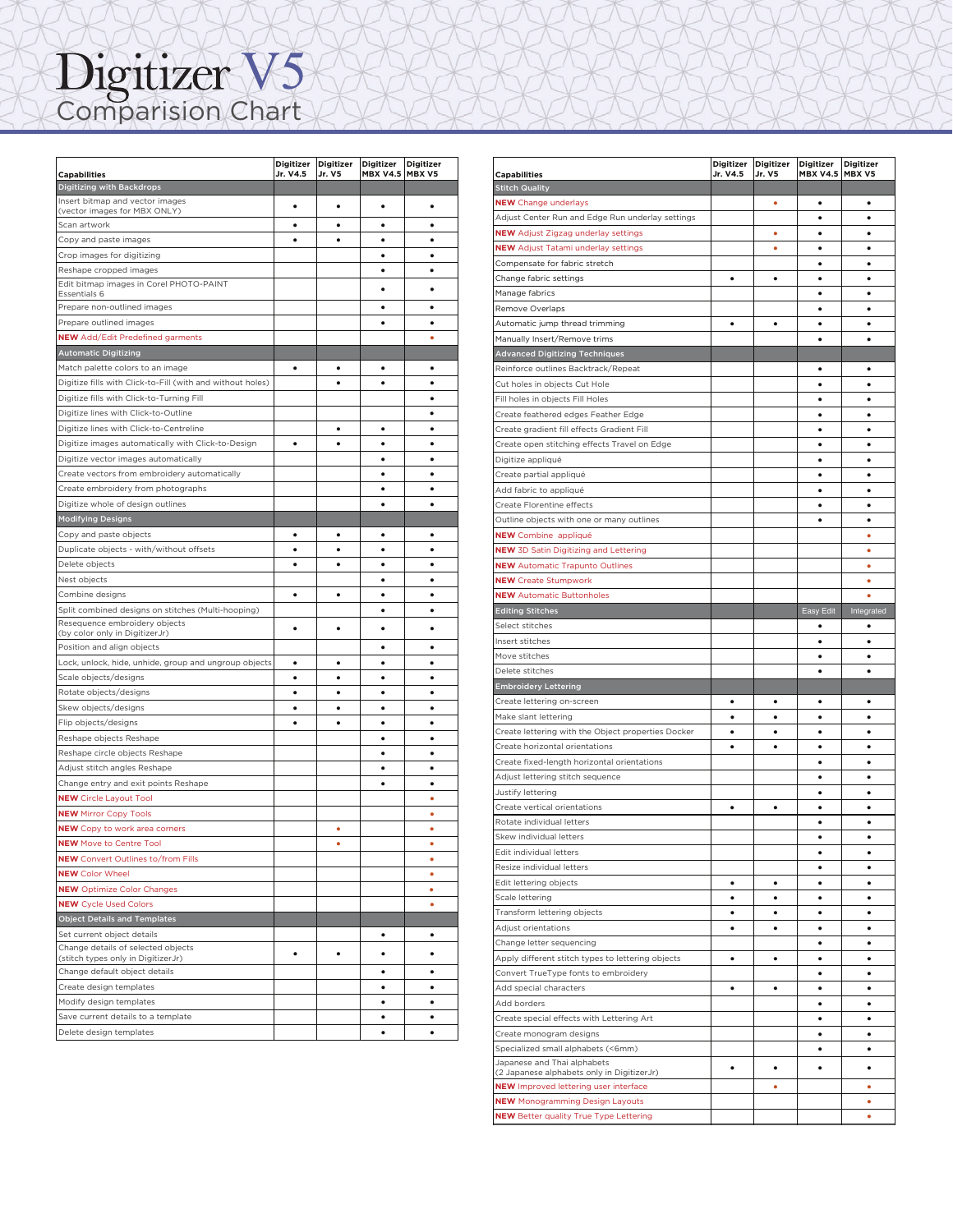## Comparision Chart  $\Gamma$  ombarision. But  $\Gamma$ IT A VAN VAN VAN VAN VAN

|                                                                                     | Digitizer Digitizer |           | Digitizer              | <b>Digitizer</b> |
|-------------------------------------------------------------------------------------|---------------------|-----------|------------------------|------------------|
| <b>Capabilities</b>                                                                 | Jr. V4.5            | Jr. V5    | <b>MBX V4.5 MBX V5</b> |                  |
| Digitizing with Backdrops                                                           |                     |           |                        |                  |
| Insert bitmap and vector images<br>(vector images for MBX ONLY)                     | ٠                   | ٠         | ٠                      | ٠                |
| Scan artwork                                                                        | ٠                   | ٠         | ٠                      | ٠                |
| Copy and paste images                                                               | $\bullet$           | $\bullet$ | $\bullet$              | $\bullet$        |
| Crop images for digitizing                                                          |                     |           | ٠                      | $\bullet$        |
| Reshape cropped images                                                              |                     |           | $\bullet$              | $\bullet$        |
| Edit bitmap images in Corel PHOTO-PAINT                                             |                     |           | ٠                      | ٠                |
| Essentials 6                                                                        |                     |           |                        |                  |
| Prepare non-outlined images                                                         |                     |           | ٠                      | $\bullet$        |
| Prepare outlined images                                                             |                     |           | $\bullet$              | ٠                |
| <b>NEW</b> Add/Edit Predefined garments                                             |                     |           |                        | ö                |
| <b>Automatic Digitizing</b>                                                         |                     |           |                        |                  |
| Match palette colors to an image                                                    |                     | $\bullet$ |                        | $\bullet$        |
| Digitize fills with Click-to-Fill (with and without holes)                          |                     | ٠         | $\bullet$              | ٠                |
| Digitize fills with Click-to-Turning Fill                                           |                     |           |                        | $\bullet$        |
| Digitize lines with Click-to-Outline                                                |                     |           |                        | $\bullet$        |
| Digitize lines with Click-to-Centreline                                             |                     | ٠         | ٠                      | ٠                |
| Digitize images automatically with Click-to-Design                                  | ٠                   | ٠         | ٠                      | ٠                |
| Digitize vector images automatically                                                |                     |           | ٠                      | ٠                |
| Create vectors from embroidery automatically                                        |                     |           | ٠                      | ٠                |
| Create embroidery from photographs                                                  |                     |           |                        | ٠                |
| Digitize whole of design outlines                                                   |                     |           | ٠                      | ٠                |
| <b>Modifying Designs</b>                                                            |                     |           |                        |                  |
| Copy and paste objects                                                              | ٠                   | ٠         | ٠                      | ٠                |
| Duplicate objects - with/without offsets                                            | ٠                   | ٠         | ٠                      | ٠                |
| Delete objects                                                                      | ٠                   | ٠         | ٠                      | ٠                |
| Nest objects                                                                        |                     |           | ٠                      | ٠                |
| Combine designs                                                                     | ٠                   | ٠         | ٠                      | ٠                |
| Split combined designs on stitches (Multi-hooping)<br>Resequence embroidery objects |                     |           | ٠                      | ٠                |
| (by color only in DigitizerJr)                                                      | ٠                   | $\bullet$ | $\bullet$              | $\bullet$        |
| Position and align objects                                                          |                     |           | ٠                      | ٠                |
| Lock, unlock, hide, unhide, group and ungroup objects                               | ٠                   | ٠         | ٠                      | ٠                |
| Scale objects/designs                                                               | ٠                   | ٠         | $\bullet$              | ٠                |
| Rotate objects/designs                                                              | ٠                   | ٠         | $\bullet$              | $\bullet$        |
| Skew objects/designs                                                                | ٠                   | ٠         | ٠                      | ٠                |
| Flip objects/designs                                                                | $\bullet$           | $\bullet$ |                        | $\bullet$        |
| Reshape objects Reshape                                                             |                     |           | ٠                      | ٠                |
| Reshape circle objects Reshape                                                      |                     |           | $\bullet$              | $\bullet$        |
| Adjust stitch angles Reshape                                                        |                     |           | ٠                      | $\bullet$        |
| Change entry and exit points Reshape                                                |                     |           | $\bullet$              | $\bullet$        |
| <b>NEW</b> Circle Layout Tool                                                       |                     |           |                        | ٠                |
| <b>NEW Mirror Copy Tools</b>                                                        |                     |           |                        | ö                |
| <b>NEW</b> Copy to work area corners                                                |                     | ۰         |                        | ۰                |
| <b>NEW</b> Move to Centre Tool                                                      |                     | ò         |                        | ۰                |
| <b>NEW</b> Convert Outlines to/from Fills                                           |                     |           |                        | ٠                |
| <b>NEW Color Wheel</b>                                                              |                     |           |                        | ۰                |
| <b>NEW</b> Optimize Color Changes                                                   |                     |           |                        | ٠                |
| <b>NEW</b> Cycle Used Colors                                                        |                     |           |                        | ۰                |
| <b>Object Details and Templates</b>                                                 |                     |           |                        |                  |
| Set current object details                                                          |                     |           | ٠                      | ٠                |
| Change details of selected objects                                                  | ٠                   | ٠         | ٠                      | ٠                |
| (stitch types only in DigitizerJr)<br>Change default object details                 |                     |           | ٠                      | ٠                |
| Create design templates                                                             |                     |           | ٠                      | ٠                |
| Modify design templates                                                             |                     |           | ٠                      | ٠                |
| Save current details to a template                                                  |                     |           | ٠                      | ٠                |
| Delete design templates                                                             |                     |           | ٠                      | ٠                |

|                                                                                           | Digitizer | Digitizer | Digitizer       | <b>Digitizer</b> |
|-------------------------------------------------------------------------------------------|-----------|-----------|-----------------|------------------|
| <b>Capabilities</b>                                                                       | Jr. V4.5  | Jr. V5    | <b>MBX V4.5</b> | MBX V5           |
| <b>Stitch Quality</b>                                                                     |           |           |                 |                  |
| <b>NEW</b> Change underlays                                                               |           | ٠         | $\bullet$       | $\bullet$        |
| Adjust Center Run and Edge Run underlay settings                                          |           |           | $\bullet$       | $\bullet$        |
| <b>NEW</b> Adjust Zigzag underlay settings                                                |           | ٠         | ٠               | ٠                |
| <b>NEW</b> Adjust Tatami underlay settings                                                |           | ۰         | ٠               | $\bullet$        |
| Compensate for fabric stretch                                                             |           |           | ٠               | ٠                |
| Change fabric settings                                                                    | ٠         | ٠         | ٠               | ٠                |
| Manage fabrics                                                                            |           |           | ٠               | ٠                |
| Remove Overlaps                                                                           |           |           |                 |                  |
| Automatic jump thread trimming                                                            | ٠         | ٠         | ٠               | ٠                |
| Manually Insert/Remove trims                                                              |           |           | ٠               | ٠                |
| <b>Advanced Digitizing Techniques</b>                                                     |           |           |                 |                  |
| Reinforce outlines Backtrack/Repeat                                                       |           |           | ٠               | ٠                |
| Cut holes in objects Cut Hole                                                             |           |           | ٠               | ٠                |
| Fill holes in objects Fill Holes                                                          |           |           | $\bullet$       | $\bullet$        |
| Create feathered edges Feather Edge                                                       |           |           | $\bullet$       | ٠                |
| Create gradient fill effects Gradient Fill                                                |           |           | ٠               | ٠                |
| Create open stitching effects Travel on Edge                                              |           |           | ٠               | ٠                |
| Digitize appliqué                                                                         |           |           | ٠               | ٠                |
| Create partial appliqué                                                                   |           |           | $\bullet$       | $\bullet$        |
| Add fabric to appliqué                                                                    |           |           | ٠               | ٠                |
| Create Florentine effects                                                                 |           |           | ٠               | ٠                |
| Outline objects with one or many outlines                                                 |           |           | ٠               | $\bullet$        |
| <b>NEW</b> Combine appliqué                                                               |           |           |                 | ٠                |
| <b>NEW</b> 3D Satin Digitizing and Lettering                                              |           |           |                 | ٠                |
| <b>NEW</b> Automatic Trapunto Outlines                                                    |           |           |                 | ۰                |
| <b>NEW</b> Create Stumpwork                                                               |           |           |                 | ٠                |
| <b>NEW</b> Automatic Buttonholes                                                          |           |           |                 | ٠                |
| <b>Editing Stitches</b>                                                                   |           |           | Easy Edit       | Integrated       |
| Select stitches                                                                           |           |           | ٠               | $\bullet$        |
| Insert stitches                                                                           |           |           | ٠               | ٠                |
| Move stitches                                                                             |           |           | ٠               | $\bullet$        |
| Delete stitches                                                                           |           |           | ٠               | ٠                |
| <b>Embroidery Lettering</b>                                                               |           |           |                 |                  |
| Create lettering on-screen                                                                | ٠         | ٠         | ٠               | ٠                |
| Make slant lettering                                                                      | $\bullet$ | $\bullet$ | ٠               | $\bullet$        |
| Create lettering with the Object properties Docker                                        | ٠         | ٠         | ٠               | ٠                |
| Create horizontal orientations                                                            | ٠         | $\bullet$ | ٠               | ٠                |
| Create fixed-length horizontal orientations                                               |           |           | ٠               | $\bullet$        |
| Adjust lettering stitch sequence                                                          |           |           | ٠               | ٠                |
| Justify lettering                                                                         |           |           | $\bullet$       | $\bullet$        |
| Create vertical orientations                                                              | $\bullet$ | ٠         | ٠               | ٠                |
| Rotate individual letters                                                                 |           |           |                 | $\bullet$        |
| Skew individual letters                                                                   |           |           | ٠               | ٠                |
| Edit individual letters                                                                   |           |           |                 | $\bullet$        |
| Resize individual letters                                                                 |           |           | ٠               | ٠                |
| Edit lettering objects                                                                    | ٠         | ٠         | ٠               | ٠                |
| Scale lettering                                                                           | ٠         | ٠         | ٠               | ٠                |
| Transform lettering objects                                                               | ٠         | ٠         | ٠               | $\bullet$        |
| Adjust orientations                                                                       | ٠         | ٠         | ٠               | ٠                |
| Change letter sequencing                                                                  |           |           | ٠               | $\bullet$        |
|                                                                                           |           |           |                 |                  |
| Apply different stitch types to lettering objects<br>Convert TrueType fonts to embroidery | ٠         | ٠         | ٠<br>$\bullet$  | ٠<br>$\bullet$   |
|                                                                                           |           |           |                 |                  |
| Add special characters                                                                    | ٠         | ٠         | ٠               | $\bullet$        |
| Add borders                                                                               |           |           | ٠               | $\bullet$        |
| Create special effects with Lettering Art                                                 |           |           | ٠               | ٠                |
| Create monogram designs                                                                   |           |           | ٠               | ٠                |
| Specialized small alphabets (<6mm)                                                        |           |           | ٠               | $\bullet$        |
| Japanese and Thai alphabets<br>(2 Japanese alphabets only in DigitizerJr)                 | $\bullet$ | ٠         | $\bullet$       | $\bullet$        |
| <b>NEW</b> Improved lettering user interface                                              |           | ٠         |                 | ٠                |
| <b>NEW</b> Monogramming Design Layouts                                                    |           |           |                 | ٠                |
| <b>NEW</b> Better quality True Type Lettering                                             |           |           |                 | ۰                |
|                                                                                           |           |           |                 |                  |

 $\Lambda$ **NEW** Cycle Used Colors !

 $\Lambda$  and  $\Lambda$  and  $\Lambda$  and  $\Lambda$  $\bigwedge X \bigtimes X \bigtimes X \bigtimes X$ Change default object details ! ! a ta ta ta ta ta ta ta ta ta

 $\cup$   $\cup$   $\cup$   $\cup$   $\cup$